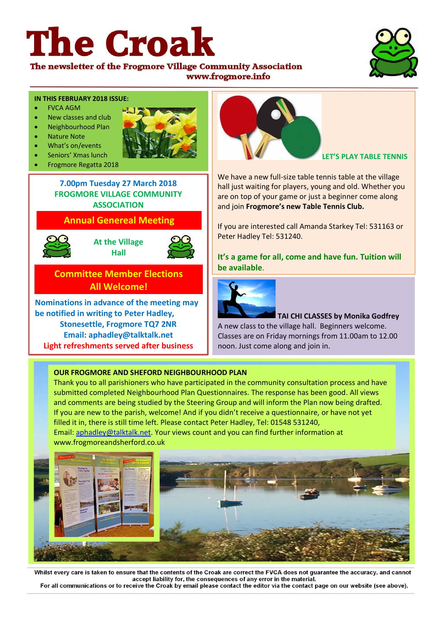# **The Croak**



The newsletter of the Frogmore Village Community Association www.frogmore.info

#### **IN THIS FEBRUARY 2018 ISSUE:**

- FVCA AGM
- New classes and club
- Neighbourhood Plan
- Nature Note
- What's on/events
- Seniors' Xmas lunch
- Frogmore Regatta 2018





**7.00pm Tuesday 27 March 2018 FROGMORE VILLAGE COMMUNITY ASSOCIATION**

# **Annual Genereal Meeting**



**At the Village Hall**



# **Committee Member Elections All Welcome!**

**Nominations in advance of the meeting may be notified in writing to Peter Hadley, Stonesettle, Frogmore TQ7 2NR Email: aphadley@talktalk.net Light refreshments served after business**



**LET'S PLAY TABLE TENNIS**

We have a new full-size table tennis table at the village hall just waiting for players, young and old. Whether you are on top of your game or just a beginner come along and join **Frogmore's new Table Tennis Club.** 

If you are interested call Amanda Starkey Tel: 531163 or Peter Hadley Tel: 531240.

**It's a game for all, come and have fun. Tuition will be available**.



**TAI CHI CLASSES by Monika Godfrey** A new class to the village hall. Beginners welcome. Classes are on Friday mornings from 11.00am to 12.00 noon. Just come along and join in.

## **OUR FROGMORE AND SHEFORD NEIGHBOURHOOD PLAN**

Thank you to all parishioners who have participated in the community consultation process and have submitted completed Neighbourhood Plan Questionnaires. The response has been good. All views and comments are being studied by the Steering Group and will inform the Plan now being drafted. If you are new to the parish, welcome! And if you didn't receive a questionnaire, or have not yet filled it in, there is still time left. Please contact Peter Hadley, Tel: 01548 531240, Email[: aphadley@talktalk.net.](mailto:aphadley@talktalk.net) Your views count and you can find further information at www.frogmoreandsherford.co.uk



Whilst every care is taken to ensure that the contents of the Croak are correct the FVCA does not guarantee the accuracy, and cannot accept liability for, the consequences of any error in the material. For all communications or to receive the Croak by email please contact the editor via the contact page on our website (see above).